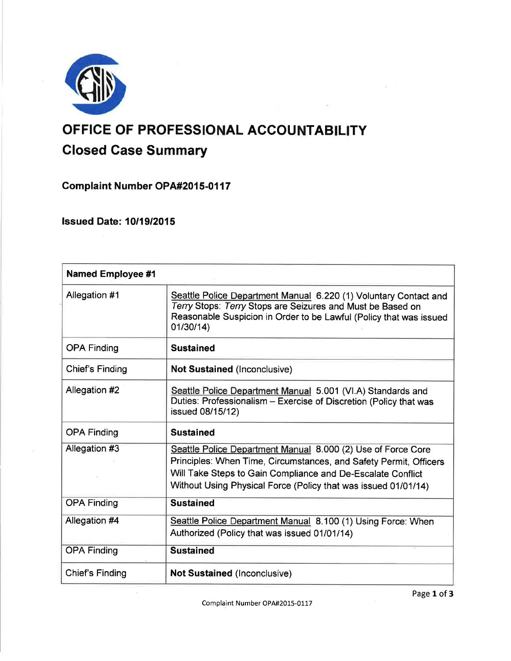

# OFFICE OF PROFESSIONAL ACCOUNTABILITY Glosed Case Summary

Complaint Number OPA#2015-0117

**Issued Date: 10/19/2015** 

| <b>Named Employee #1</b> |                                                                                                                                                                                                                                                                    |
|--------------------------|--------------------------------------------------------------------------------------------------------------------------------------------------------------------------------------------------------------------------------------------------------------------|
| Allegation #1            | Seattle Police Department Manual 6.220 (1) Voluntary Contact and<br>Terry Stops: Terry Stops are Seizures and Must be Based on<br>Reasonable Suspicion in Order to be Lawful (Policy that was issued<br>01/30/14)                                                  |
| <b>OPA Finding</b>       | <b>Sustained</b>                                                                                                                                                                                                                                                   |
| Chief's Finding          | <b>Not Sustained (Inconclusive)</b>                                                                                                                                                                                                                                |
| Allegation #2            | Seattle Police Department Manual 5.001 (VI.A) Standards and<br>Duties: Professionalism - Exercise of Discretion (Policy that was<br>issued 08/15/12)                                                                                                               |
| <b>OPA Finding</b>       | <b>Sustained</b>                                                                                                                                                                                                                                                   |
| Allegation #3            | Seattle Police Department Manual 8.000 (2) Use of Force Core<br>Principles: When Time, Circumstances, and Safety Permit, Officers<br>Will Take Steps to Gain Compliance and De-Escalate Conflict<br>Without Using Physical Force (Policy that was issued 01/01/14) |
| <b>OPA Finding</b>       | <b>Sustained</b>                                                                                                                                                                                                                                                   |
| Allegation #4            | Seattle Police Department Manual 8.100 (1) Using Force: When<br>Authorized (Policy that was issued 01/01/14)                                                                                                                                                       |
| <b>OPA Finding</b>       | <b>Sustained</b>                                                                                                                                                                                                                                                   |
| Chief's Finding          | <b>Not Sustained (Inconclusive)</b>                                                                                                                                                                                                                                |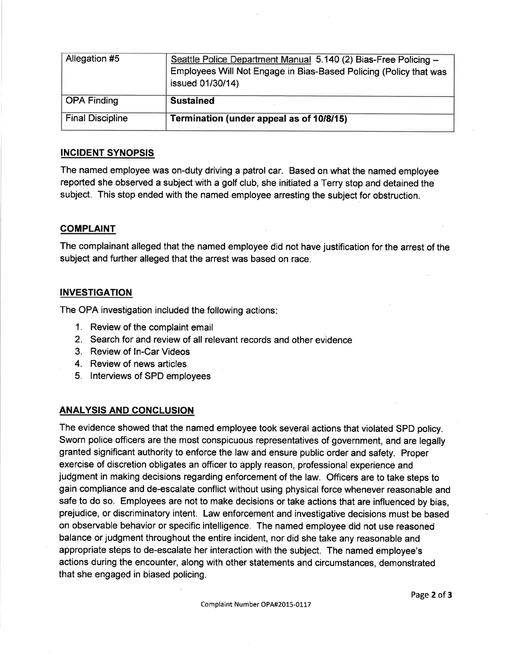| Allegation #5           | Seattle Police Department Manual 5.140 (2) Bias-Free Policing -<br>Employees Will Not Engage in Bias-Based Policing (Policy that was<br>issued 01/30/14) |
|-------------------------|----------------------------------------------------------------------------------------------------------------------------------------------------------|
| OPA Finding             | <b>Sustained</b>                                                                                                                                         |
| <b>Final Discipline</b> | Termination (under appeal as of 10/8/15)                                                                                                                 |

## INCIDENT SYNOPSIS

The named employee was on-duty driving a patrol car. Based on what the named employee reported she observed a subject with a golf club, she initiated a Terry stop and detained the subject. This stop ended with the named employee arresting the subject for obstruction.

## **COMPLAINT**

The complainant alleged that the named employee did not have justification for the arrest of the subject and further alleged that the arrest was based on race.

# **INVESTIGATION**

The OPA investigation included the following actions

- 1. Review of the complaint email
- 2. Search for and review of all relevant records and other evidence
- 3. Review of ln-Car Videos
- 4. Review of news articles
- 5. lnterviews of SPD employees

# ANALYSIS AND CONCLUSION

The evidence showed that the named employee took several actions that violated SPD policy. Sworn police officers are the most conspicuous representatives of government, and are legally granted significant authority to enforce the law and ensure public order and safety. Proper exercise of discretion obligates an officer to apply reason, professional experience and judgment in making decisions regarding enforcement of the law. Officers are to take steps to gain compliance and de-escalate conflict without using physical force whenever reasonable and safe to do so. Employees are not to make decisions or take actions that are influenced by bias, prejudice, or discriminatory intent. Law enforcement and investigative decisions must be based on observable behavior or specific intelligence. The named employee did not use reasoned balance or judgment throughout the entire incident, nor did she take any reasonable and appropriate steps to de-escalate her interaction with the subject. The named employee's actions during the encounter, along with other statements and circumstances, demonstrated that she engaged in biased policing.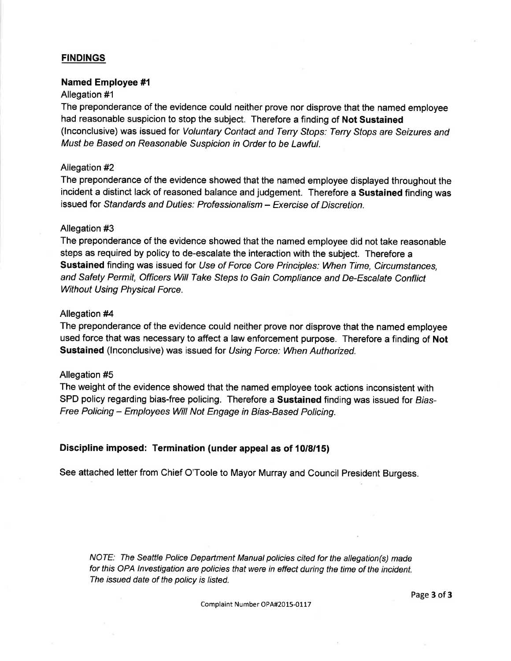## **FINDINGS**

#### Named Employee #l

#### Allegation #1

The preponderance of the evidence could neither prove nor disprove that the named employee had reasonable suspicion to stop the subject. Therefore a finding of Not Sustained (lnconclusive) was issued for Voluntary Contact and Terry Sfops: Terry Stops are Seizures and Must be Based on Reasonable Suspicion in Order to be Lawful.

#### Allegation #2

The preponderance of the evidence showed that the named employee displayed throughout the incident a distinct lack of reasoned balance and judgement. Therefore a Sustained finding was issued for Sfandards and Duties: Professionalism - Exercise of Discretion.

#### Allegation #3

The preponderance of the evidence showed that the named employee did not take reasonable steps as required by policy to de-escalate the interaction with the subject. Therefore a Sustained finding was issued for Use of Force Core Principles: When Time, Circumstances, and Safety Permit, Officers Will Take Sfeps to Gain Compliance and De-Escalate Conflict Without Using Physical Force.

#### Allegation #4

The preponderance of the evidence could neither prove nor disprove that the named employee used force that was necessary to affect a law enforcement purpose. Therefore a finding of Not Sustained (Inconclusive) was issued for Using Force: When Authorized.

#### Allegation #5

The weight of the evidence showed that the named employee took actions inconsistent with SPD policy regarding bias-free policing. Therefore a Sustained finding was issued for Bias-Free Policing - Employees Will Not Engage in Bias-Based Policing.

### Discipline imposed: Termination (under appeal as of 10/8/15)

See attached letter from Chief O'Toole to Mayor Murray and Council President Burgess.

NOTE: The Seattle Police Department Manual policies cited for the allegation(s) made for this OPA lnvestigation are policies that were in effect during the time of the incident. The issued date of the policy is listed.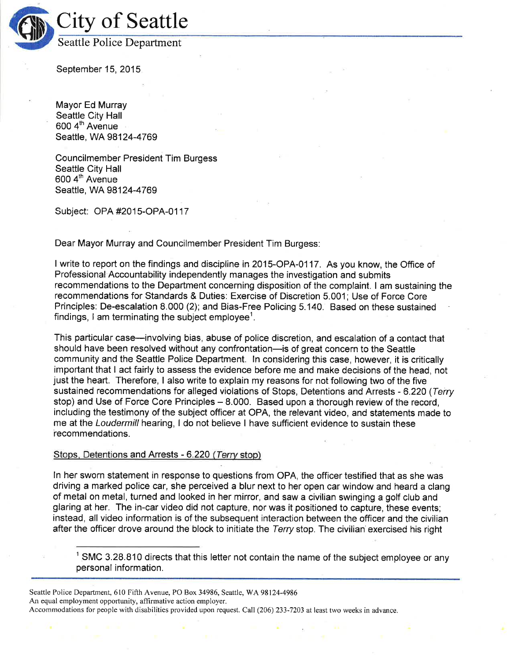

September 15, 2015.

Mayor Ed Murray Seattle City Hall 600 4<sup>th</sup> Avenue Seattle, WA 98124-4769

Councilmember President Tim Burgess Seattle City Hall 600 4<sup>th</sup> Avenue Seattle, WA 98124-4769

Subject: OPA #2015-OPA-0117

Dear Mayor Murray and Councilmember President Tim Burgess:

<sup>I</sup>write to report on the findings and discipline in 2015-OPA-0117 . As you know, the Office of Professional Accountability independently manages the investigation and submits recommendations to the Department concerning disposition of the complaint. I am sustaining the recommendations for Standards & Duties. Exercise of Discretion 5.001; Use of Force Core Principles: De-escalation 8.000 (2); and Bias-Free Policing 5.140. Based on these sustained findings, I am terminating the subject employee<sup>1</sup>.

This particular case-involving bias, abuse of police discretion, and escalation of a contact that should have been resolved without any confrontation-is of great concern to the Seattle community and the Seattle Police Department. ln considering this case, however, it is critically important that I act fairly to assess the evidence before me and make decisions of the head, not just the heart. Therefore, I also write to explain my reasons for not following two of the five sustained recommendations for alleged violations of Stops, Detentions and Arrests - 6.220 (Terry stop) and Use of Force Core Principles - 8.000. Based upon a thorough review of the record, including the testimony of the subject officer at OPA, the relevant video, and statements made to me at the Loudermill hearing, I do not believe I have sufficient evidence to sustain these recommendations.

#### Stops, Detentions and Arrests - 6.220 (Terry stop)

ln her sworn statement in response to questions from OPA, the officer testified that as she was driving a marked police car, she perceived a blur next to her open car window and heard a clang of metal on metal, turned and looked in her mirror, and saw a civilian swinging a golf club and glaring at her. The in-car video did not capture, nor was it positioned to capture, these events; instead, all video information is of the subsequent interaction between the officer and the civilian after the officer drove around the block to initiate the Terry stop. The civilian exercised his right

 $1$  SMC 3.28.810 directs that this letter not contain the name of the subject employee or any personal information.

Seattle Police Department, 610 Fifth Avenue, PO Box 34986, Seattle, WA 98124-4986 An equal employment opportunity, affirmative action employer. Accommodations for people with disabilities provided upon request. Call (206) 233-7203 at least two weeks in advance.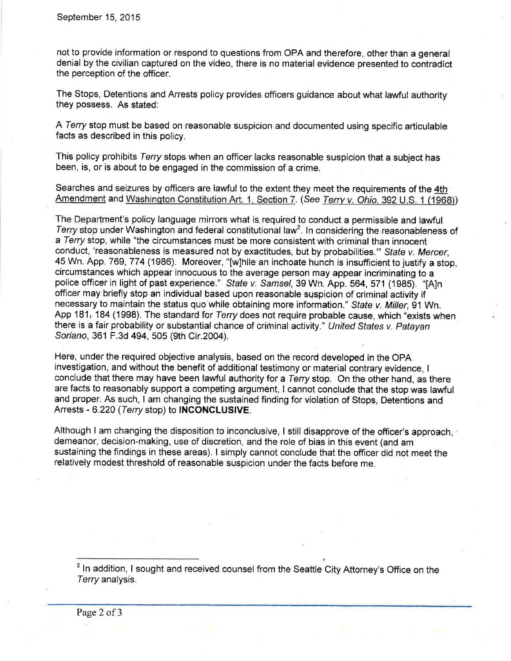not to provide information or respond to questions from OPA and therefore, other than a general denial by the civilian captured on the video, there is no material evidence presented to contradict the perception of the officer.

The Stops, Detentions and Arrests policy provides officers guidance about what lawful authority they possess. As stated:

A Terry stop must be based on reasonable suspicion and documented using specific articulable facts as described in this policy.

This policy prohibits Terry stops when an officer lacks reasonable suspicion that a subject has been, is, or is about to be engaged in the commission of a crime.

Searches and seizures by officers are lawful to the extent they meet the requirements of the 4th Amendment and Washington Constitution Art. 1, Section 7. (See Terry v. Ohio. 392 U.S. 1 (1968))

The Department's policy language mirrors what is required to conduct a permissible and lawful Terry stop under Washington and federal constitutional law<sup>2</sup>. In considering the reasonableness of a Terry stop, while "the circumstances must be more consistent with criminal than innocent conduct, 'reasonableness is measured not by exactitudes, but by probabilities." State v. Mercer, 45 Wn. App. 769, 774 (1986). Moreover, "[w]hile an inchoate hunch is insufficient to justify a stop, circumstances which appear innocuous to the average person may appear incriminating to a police officer in light of past experience." State v. Samsel, 39 Wn. App. 564, 571 (1985). "[A]n officer may briefly stop an individual based upon reasonable suspicion of criminal activity if necessary to maintain the status quo while obtaining more information." State v. Miller, 91 Wn. App 181, 184 (1998). The standard for Terry does not require probable cause, which "exists when there is a fair probability or substantial chance of criminal activity." United States v. Patayan Soriano, 361 F.3d 494, 505 (9th Cir. 2004).

Here, under the required objective analysis, based on the record developed in the OPA investigation, and without the benefit of additional testimony or material contrary evidence, <sup>I</sup> conclude that there may have been lawful authority for a Terry stop. On the other hand, as there are facts to reasonably support a competing argumènt, I cannot conclude that the stop was lawful and proper. As such, I am changing the sustained finding for violation of Stops, Detentions and Arrests - 6.220 (Terry stop) to INCONCLUSIVE.

Although I am changing the disposition to inconclusive, I still disapprove of the officer's approach, demeanor, decision-making, use of discretion, and the role of bias in this event (and am sustaining the findings in these areas). I simply cannot conclude that the officer did not meet the relatively modest threshold of reasonable suspicion under the facts before me.

<sup>2</sup> In addition, I sought and received counsel from the Seattle City Attorney's Office on the Terry analysis.